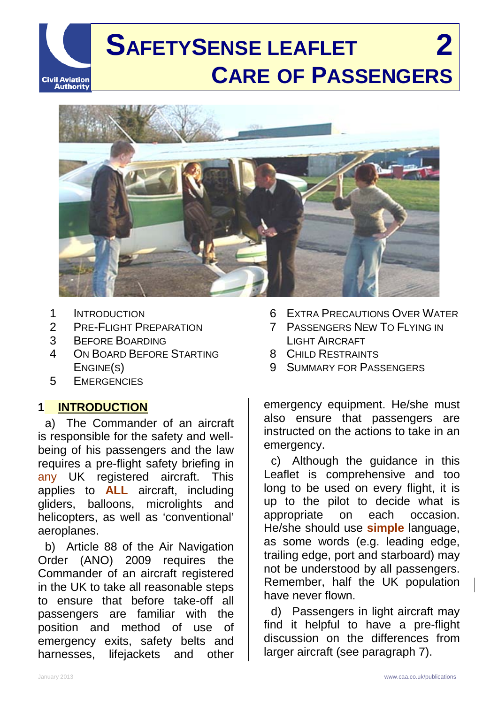# **SAFETYSENSE LEAFLET 2 CARE OF PASSENGERS Civil Aviation Authority**



- 1 INTRODUCTION
- 2 PRE-FLIGHT PREPARATION
- 3 BEFORE BOARDING
- 4 ON BOARD BEFORE STARTING ENGINE(S)
- 5 EMERGENCIES

#### **1 INTRODUCTION**

a) The Commander of an aircraft is responsible for the safety and wellbeing of his passengers and the law requires a pre-flight safety briefing in any UK registered aircraft. This applies to **ALL** aircraft, including gliders, balloons, microlights and helicopters, as well as 'conventional' aeroplanes.

b) Article 88 of the Air Navigation Order (ANO) 2009 requires the Commander of an aircraft registered in the UK to take all reasonable steps to ensure that before take-off all passengers are familiar with the position and method of use of emergency exits, safety belts and harnesses, lifejackets and other

- 6 EXTRA PRECAUTIONS OVER WATER
- 7 PASSENGERS NEW TO FLYING IN LIGHT AIRCRAFT
- 8 CHILD RESTRAINTS
- 9 SUMMARY FOR PASSENGERS

emergency equipment. He/she must also ensure that passengers are instructed on the actions to take in an emergency.

c) Although the guidance in this Leaflet is comprehensive and too long to be used on every flight, it is up to the pilot to decide what is appropriate on each occasion. He/she should use **simple** language, as some words (e.g. leading edge, trailing edge, port and starboard) may not be understood by all passengers. Remember, half the UK population have never flown.

d) Passengers in light aircraft may find it helpful to have a pre-flight discussion on the differences from larger aircraft (see paragraph 7).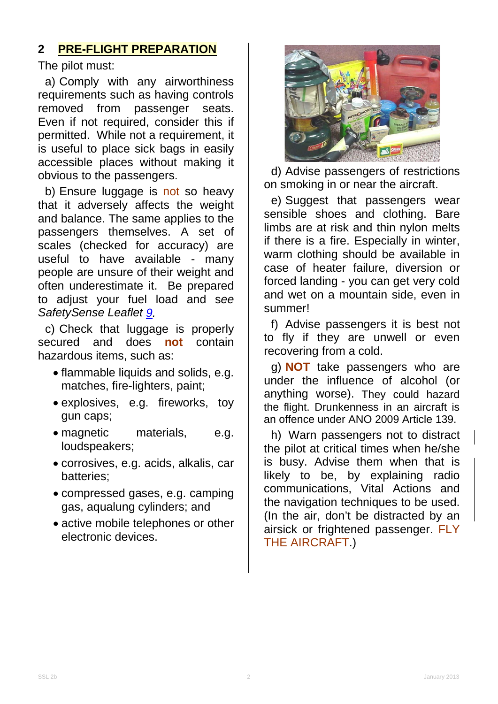## **2 PRE-FLIGHT PREPARATION**

The pilot must:

a) Comply with any airworthiness requirements such as having controls<br>removed from passenger seats. passenger seats. Even if not required, consider this if permitted. While not a requirement, it is useful to place sick bags in easily accessible places without making it obvious to the passengers.

b) Ensure luggage is not so heavy that it adversely affects the weight and balance. The same applies to the passengers themselves. A set of scales (checked for accuracy) are useful to have available - many people are unsure of their weight and often underestimate it. Be prepared to adjust your fuel load and s*ee SafetySense Leaflet [9.](http://www.caa.co.uk/safetysenseleaflet09)*

c) Check that luggage is properly secured and does **not** contain hazardous items, such as:

- flammable liquids and solids, e.g. matches, fire-lighters, paint;
- explosives, e.g. fireworks, toy gun caps;
- magnetic materials, e.g. loudspeakers;
- corrosives, e.g. acids, alkalis, car batteries;
- compressed gases, e.g. camping gas, aqualung cylinders; and
- active mobile telephones or other electronic devices.



d) Advise passengers of restrictions on smoking in or near the aircraft.

e) Suggest that passengers wear sensible shoes and clothing. Bare limbs are at risk and thin nylon melts if there is a fire. Especially in winter, warm clothing should be available in case of heater failure, diversion or forced landing - you can get very cold and wet on a mountain side, even in summer!

f) Advise passengers it is best not to fly if they are unwell or even recovering from a cold.

g) **NOT** take passengers who are under the influence of alcohol (or anything worse). They could hazard the flight. Drunkenness in an aircraft is an offence under ANO 2009 Article 139.

h) Warn passengers not to distract the pilot at critical times when he/she is busy. Advise them when that is likely to be, by explaining radio communications, Vital Actions and the navigation techniques to be used. (In the air, don't be distracted by an airsick or frightened passenger. FLY THE AIRCRAFT.)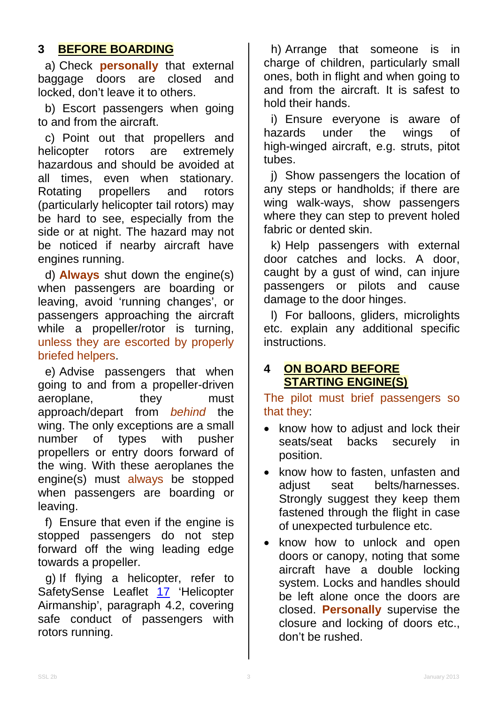## **3 BEFORE BOARDING**

a) Check **personally** that external baggage doors are closed and locked, don't leave it to others.

b) Escort passengers when going to and from the aircraft.

c) Point out that propellers and helicopter rotors are extremely hazardous and should be avoided at all times, even when stationary. Rotating propellers and rotors (particularly helicopter tail rotors) may be hard to see, especially from the side or at night. The hazard may not be noticed if nearby aircraft have engines running.

d) **Always** shut down the engine(s) when passengers are boarding or leaving, avoid 'running changes', or passengers approaching the aircraft while a propeller/rotor is turning, unless they are escorted by properly briefed helpers.

e) Advise passengers that when going to and from a propeller-driven aeroplane, they must approach/depart from *behind* the wing. The only exceptions are a small<br>number of types with pusher number of types with pusher propellers or entry doors forward of the wing. With these aeroplanes the engine(s) must always be stopped when passengers are boarding or leaving.

f) Ensure that even if the engine is stopped passengers do not step forward off the wing leading edge towards a propeller.

g) If flying a helicopter, refer to SafetySense Leaflet [17](http://www.caa.co.uk/safetysenseleaflet17) 'Helicopter Airmanship', paragraph 4.2, covering safe conduct of passengers with rotors running.

h) Arrange that someone is in charge of children, particularly small ones, both in flight and when going to and from the aircraft. It is safest to hold their hands.

i) Ensure everyone is aware of hazards under the wings of high-winged aircraft, e.g. struts, pitot tubes.

j) Show passengers the location of any steps or handholds; if there are wing walk-ways, show passengers where they can step to prevent holed fabric or dented skin.

k) Help passengers with external door catches and locks. A door, caught by a gust of wind, can injure passengers or pilots and cause damage to the door hinges.

l) For balloons, gliders, microlights etc. explain any additional specific instructions.

#### **4 ON BOARD BEFORE STARTING ENGINE(S)**

The pilot must brief passengers so that they:

- know how to adjust and lock their seats/seat backs securely in position.
- know how to fasten, unfasten and adjust seat belts/harnesses. Strongly suggest they keep them fastened through the flight in case of unexpected turbulence etc.
- know how to unlock and open doors or canopy, noting that some aircraft have a double locking system. Locks and handles should be left alone once the doors are closed. **Personally** supervise the closure and locking of doors etc., don't be rushed.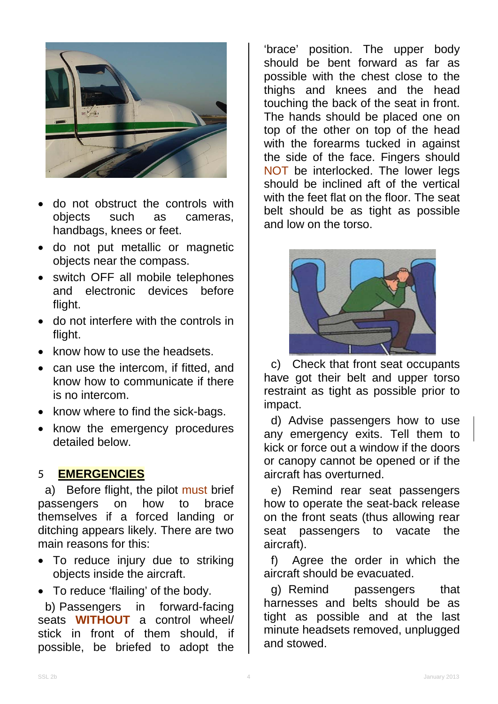

- do not obstruct the controls with<br>objects such as cameras. objects such as cameras, handbags, knees or feet.
- do not put metallic or magnetic objects near the compass.
- switch OFF all mobile telephones and electronic devices before flight.
- do not interfere with the controls in flight.
- know how to use the headsets.
- can use the intercom, if fitted, and know how to communicate if there is no intercom.
- know where to find the sick-bags.
- know the emergency procedures detailed below.

#### 5 **EMERGENCIES**

a) Before flight, the pilot must brief passengers on how to brace themselves if a forced landing or ditching appears likely. There are two main reasons for this:

- To reduce injury due to striking objects inside the aircraft.
- To reduce 'flailing' of the body.

b) Passengers in forward-facing seats **WITHOUT** a control wheel/ stick in front of them should, if possible, be briefed to adopt the

'brace' position. The upper body should be bent forward as far as possible with the chest close to the thighs and knees and the head touching the back of the seat in front. The hands should be placed one on top of the other on top of the head with the forearms tucked in against the side of the face. Fingers should NOT be interlocked. The lower legs should be inclined aft of the vertical with the feet flat on the floor. The seat belt should be as tight as possible and low on the torso.



c) Check that front seat occupants have got their belt and upper torso restraint as tight as possible prior to impact.

d) Advise passengers how to use any emergency exits. Tell them to kick or force out a window if the doors or canopy cannot be opened or if the aircraft has overturned.

e) Remind rear seat passengers how to operate the seat-back release on the front seats (thus allowing rear seat passengers to vacate the aircraft).

f) Agree the order in which the aircraft should be evacuated.

g) Remind passengers that harnesses and belts should be as tight as possible and at the last minute headsets removed, unplugged and stowed.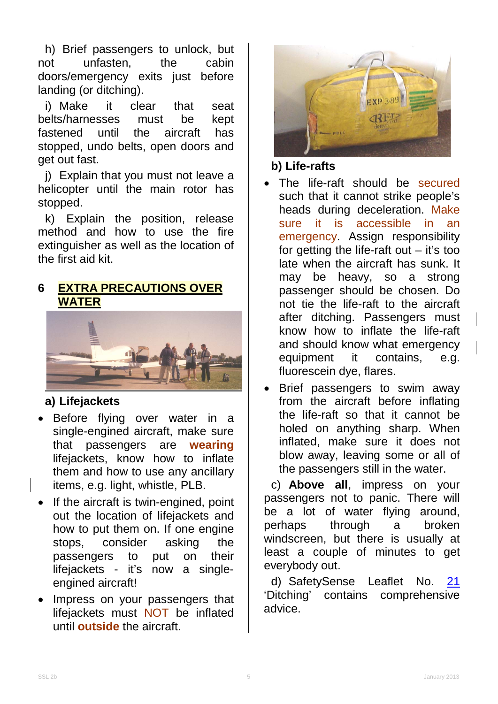h) Brief passengers to unlock, but<br>ot unfasten, the cabin not unfasten, the doors/emergency exits just before landing (or ditching).

i) Make it clear that seat belts/harnesses must be kept<br>fastened until the aircraft has fastened until the aircraft has stopped, undo belts, open doors and get out fast.

j) Explain that you must not leave a helicopter until the main rotor has stopped.

k) Explain the position, release method and how to use the fire extinguisher as well as the location of the first aid kit.

### **6 EXTRA PRECAUTIONS OVER WATER**



### **a) Lifejackets**

- Before flying over water in a single-engined aircraft, make sure that passengers are **wearing** lifejackets, know how to inflate them and how to use any ancillary items, e.g. light, whistle, PLB.
- If the aircraft is twin-engined, point out the location of lifejackets and how to put them on. If one engine stops, consider asking the passengers to put on their lifejackets - it's now a singleengined aircraft!
- Impress on your passengers that lifejackets must NOT be inflated until **outside** the aircraft.



#### **b) Life-rafts**

- The life-raft should be secured such that it cannot strike people's heads during deceleration. Make sure it is accessible in an emergency. Assign responsibility for getting the life-raft out  $-$  it's too late when the aircraft has sunk. It may be heavy, so a strong passenger should be chosen. Do not tie the life-raft to the aircraft after ditching. Passengers must know how to inflate the life-raft and should know what emergency equipment it contains, e.g. fluorescein dye, flares.
- Brief passengers to swim away from the aircraft before inflating the life-raft so that it cannot be holed on anything sharp. When inflated, make sure it does not blow away, leaving some or all of the passengers still in the water.

c) **Above all**, impress on your passengers not to panic. There will be a lot of water flying around, perhaps through a broken windscreen, but there is usually at least a couple of minutes to get everybody out.

d) SafetySense Leaflet No. [21](http://www.caa.co.uk/safetysenseleaflet21) 'Ditching' contains comprehensive advice.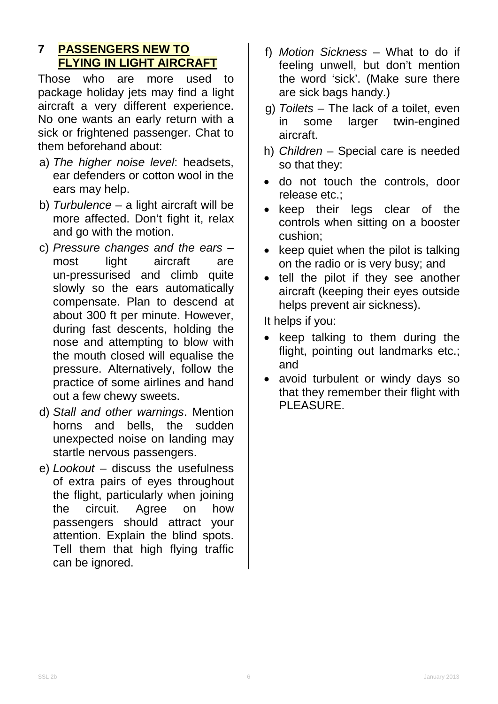### **7 PASSENGERS NEW TO FLYING IN LIGHT AIRCRAFT**

Those who are more used to package holiday jets may find a light aircraft a very different experience. No one wants an early return with a sick or frightened passenger. Chat to them beforehand about:

- a) *The higher noise level*: headsets, ear defenders or cotton wool in the ears may help.
- b) *Turbulence* a light aircraft will be more affected. Don't fight it, relax and go with the motion.
- c) *Pressure changes and the ears* most light aircraft are un-pressurised and climb quite slowly so the ears automatically compensate. Plan to descend at about 300 ft per minute. However, during fast descents, holding the nose and attempting to blow with the mouth closed will equalise the pressure. Alternatively, follow the practice of some airlines and hand out a few chewy sweets.
- d) *Stall and other warnings*. Mention horns and bells, the sudden unexpected noise on landing may startle nervous passengers.
- e) *Lookout* discuss the usefulness of extra pairs of eyes throughout the flight, particularly when joining the circuit. Agree on how passengers should attract your attention. Explain the blind spots. Tell them that high flying traffic can be ignored.
- f) *Motion Sickness* What to do if feeling unwell, but don't mention the word 'sick'. (Make sure there are sick bags handy.)
- g) *Toilets*  The lack of a toilet, even in some larger twin-engined aircraft.
- h) *Children* Special care is needed so that they:
- do not touch the controls, door release etc.;
- keep their legs clear of the controls when sitting on a booster cushion;
- keep quiet when the pilot is talking on the radio or is very busy; and
- tell the pilot if they see another aircraft (keeping their eyes outside helps prevent air sickness).

It helps if you:

- keep talking to them during the flight, pointing out landmarks etc.; and
- avoid turbulent or windy days so that they remember their flight with PLEASURE.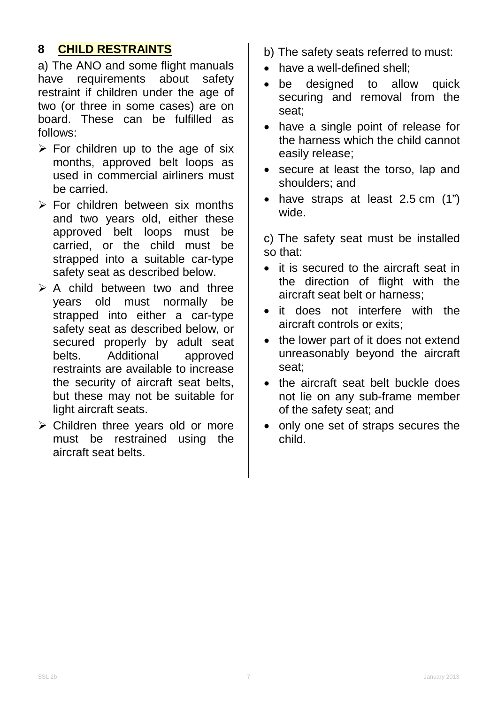#### **8 CHILD RESTRAINTS**

a) The ANO and some flight manuals<br>have requirements about safety have requirements about safety restraint if children under the age of two (or three in some cases) are on board. These can be fulfilled as follows:

- $\triangleright$  For children up to the age of six months, approved belt loops as used in commercial airliners must be carried.
- $\triangleright$  For children between six months and two years old, either these approved belt loops must be carried, or the child must be strapped into a suitable car-type safety seat as described below.
- $\triangleright$  A child between two and three years old must normally be strapped into either a car-type safety seat as described below, or secured properly by adult seat belts. Additional approved restraints are available to increase the security of aircraft seat belts, but these may not be suitable for light aircraft seats.
- $\triangleright$  Children three years old or more must be restrained using the aircraft seat belts.
- b) The safety seats referred to must:
- have a well-defined shell;
- be designed to allow quick securing and removal from the seat;
- have a single point of release for the harness which the child cannot easily release;
- secure at least the torso, lap and shoulders; and
- have straps at least 2.5 cm (1") wide.

c) The safety seat must be installed so that:

- it is secured to the aircraft seat in the direction of flight with the aircraft seat belt or harness;
- it does not interfere with the aircraft controls or exits;
- the lower part of it does not extend unreasonably beyond the aircraft seat;
- the aircraft seat belt buckle does not lie on any sub-frame member of the safety seat; and
- only one set of straps secures the child.